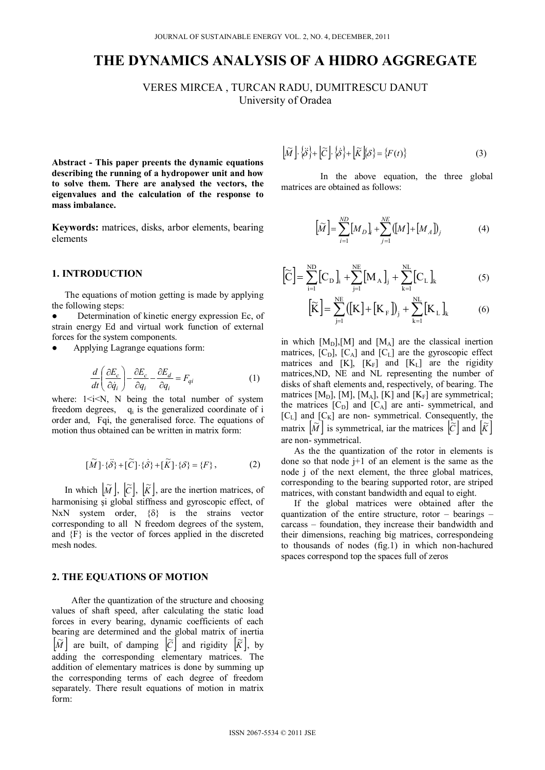# **THE DYNAMICS ANALYSIS OF A HIDRO AGGREGATE**

VERES MIRCEA , TURCAN RADU, DUMITRESCU DANUT University of Oradea

**Abstract - This paper preents the dynamic equations describing the running of a hydropower unit and how to solve them. There are analysed the vectors, the eigenvalues and the calculation of the response to mass imbalance.** 

**Keywords:** matrices, disks, arbor elements, bearing elements

#### **1. INTRODUCTION**

The equations of motion getting is made by applying the following steps:

Determination of kinetic energy expression Ec, of strain energy Ed and virtual work function of external forces for the system components.

Applying Lagrange equations form:

$$
\frac{d}{dt} \left( \frac{\partial E_c}{\partial \dot{q}_i} \right) - \frac{\partial E_c}{\partial q_i} - \frac{\partial E_d}{\partial q_i} = F_{qi} \tag{1}
$$

where:  $1 \le i \le N$ , N being the total number of system freedom degrees,  $q_i$  is the generalized coordinate of i order and, Fqi, the generalised force. The equations of motion thus obtained can be written in matrix form:

$$
[\widetilde{M}] \cdot \{\ddot{\delta}\} + [\widetilde{C}] \cdot \{\dot{\delta}\} + [\widetilde{K}] \cdot \{\delta\} = \{F\},\tag{2}
$$

In which  $\left[\widetilde{M}\right]$ ,  $\left[\widetilde{C}\right]$ ,  $\left[\widetilde{K}\right]$ , are the inertion matrices, of harmonising şi global stiffness and gyroscopic effect, of NxN system order,  $\{\delta\}$  is the strains vector corresponding to all N freedom degrees of the system, and {F} is the vector of forces applied in the discreted mesh nodes.

## **2. THE EQUATIONS OF MOTION**

After the quantization of the structure and choosing values of shaft speed, after calculating the static load forces in every bearing, dynamic coefficients of each bearing are determined and the global matrix of inertia  $\left[\widetilde{M}\right]$  are built, of damping  $\left[\widetilde{C}\right]$  and rigidity  $\left[\widetilde{K}\right]$ , by adding the corresponding elementary matrices. The addition of elementary matrices is done by summing up the corresponding terms of each degree of freedom separately. There result equations of motion in matrix form:

$$
\left[\widetilde{M}\right] \cdot \left\{\widetilde{\delta}\right\} + \left[\widetilde{C}\right] \cdot \left\{\widehat{\delta}\right\} + \left[\widetilde{K}\right] \left\{\delta\right\} = \left\{F(t)\right\} \tag{3}
$$

In the above equation, the three global matrices are obtained as follows:

$$
\left[\widetilde{M}\right] = \sum_{i=1}^{ND} \left[M_D\right]_i + \sum_{j=1}^{NE} \left(\left[M\right] + \left[M_A\right]\right)_j \tag{4}
$$

$$
\left[\widetilde{C}\right] = \sum_{i=1}^{ND} \left[C_{D}\right]_{i} + \sum_{j=1}^{NE} \left[M_{A}\right]_{j} + \sum_{k=1}^{NL} \left[C_{L}\right]_{k} \tag{5}
$$

$$
\left[\widetilde{K}\right] = \sum_{j=1}^{NE} \left(\left[K\right] + \left[K_{F}\right]\right)_{j} + \sum_{k=1}^{NL} \left[K_{L}\right]_{k} \tag{6}
$$

in which  $[M_D], [M]$  and  $[M_A]$  are the classical inertion matrices,  $[C_D]$ ,  $[C_A]$  and  $[C_L]$  are the gyroscopic effect matrices and  $[K]$ ,  $[K_F]$  and  $[K_L]$  are the rigidity matrices,ND, NE and NL representing the number of disks of shaft elements and, respectively, of bearing. The matrices [ $M_D$ ], [ $M$ ], [ $M_A$ ], [ $K$ ] and [ $K_F$ ] are symmetrical; the matrices  $[C_D]$  and  $[C_A]$  are anti- symmetrical, and  $[C_L]$  and  $[C_K]$  are non- symmetrical. Consequently, the matrix  $|\widetilde{M}|$  is symmetrical, iar the matrices  $|\widetilde{C}|$  and  $|\widetilde{K}|$ are non- symmetrical.

As the the quantization of the rotor in elements is done so that node  $j+1$  of an element is the same as the node j of the next element, the three global matrices, corresponding to the bearing supported rotor, are striped matrices, with constant bandwidth and equal to eight.

If the global matrices were obtained after the quantization of the entire structure, rotor – bearings – carcass – foundation, they increase their bandwidth and their dimensions, reaching big matrices, correspondeing to thousands of nodes (fig.1) in which non-hachured spaces correspond top the spaces full of zeros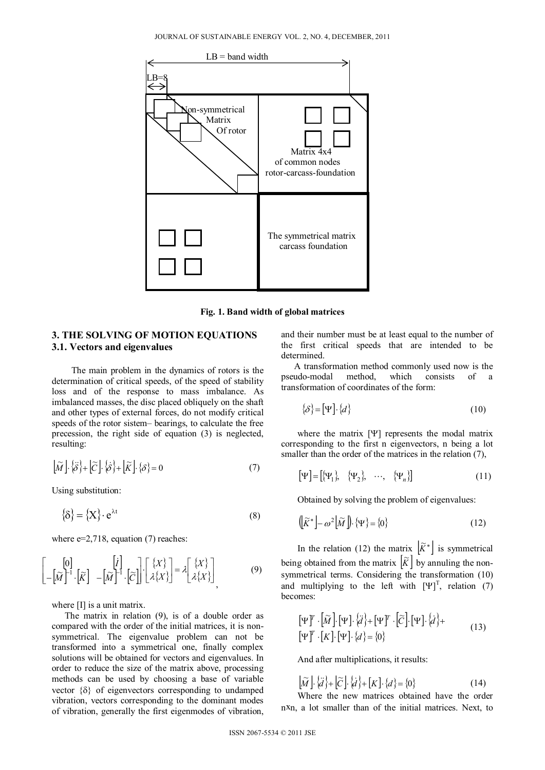

**Fig. 1. Band width of global matrices** 

## **3. THE SOLVING OF MOTION EQUATIONS 3.1. Vectors and eigenvalues**

The main problem in the dynamics of rotors is the determination of critical speeds, of the speed of stability loss and of the response to mass imbalance. As imbalanced masses, the disc placed obliquely on the shaft and other types of external forces, do not modify critical speeds of the rotor sistem– bearings, to calculate the free precession, the right side of equation (3) is neglected, resulting:

$$
\left[\widetilde{M}\right] \cdot \left\{\widetilde{\mathcal{S}}\right\} + \left[\widetilde{C}\right] \cdot \left\{\widetilde{\mathcal{S}}\right\} + \left[\widetilde{K}\right] \cdot \left\{\mathcal{S}\right\} = 0 \tag{7}
$$

Using substitution:

L  $\mathsf{I}$ L  $\mathbf{r}$ 

$$
\{\delta\} = \{X\} \cdot e^{\lambda t} \tag{8}
$$

where  $e=2.718$ , equation (7) reaches:

$$
\begin{bmatrix} [0] \\ -[\widetilde{M}]^{-1} \cdot [\widetilde{K}] & -[\widetilde{M}]^{-1} \cdot [\widetilde{C}] \end{bmatrix} \cdot \begin{bmatrix} \{X\} \\ \lambda \{X\} \end{bmatrix} = \lambda \begin{bmatrix} \{X\} \\ \lambda \{X\} \end{bmatrix}
$$
(9)

where [I] is a unit matrix.

The matrix in relation (9), is of a double order as compared with the order of the initial matrices, it is nonsymmetrical. The eigenvalue problem can not be transformed into a symmetrical one, finally complex solutions will be obtained for vectors and eigenvalues. In order to reduce the size of the matrix above, processing methods can be used by choosing a base of variable vector  $\{\delta\}$  of eigenvectors corresponding to undamped vibration, vectors corresponding to the dominant modes of vibration, generally the first eigenmodes of vibration,

and their number must be at least equal to the number of the first critical speeds that are intended to be determined.

A transformation method commonly used now is the pseudo-modal method. which consists of a which consists of a transformation of coordinates of the form:

$$
\{\delta\} = [\Psi] \cdot \{d\} \tag{10}
$$

where the matrix  $[\Psi]$  represents the modal matrix corresponding to the first n eigenvectors, n being a lot smaller than the order of the matrices in the relation  $(7)$ ,

$$
\left[\Psi\right] = \left[\left\{\Psi_1\right\}, \quad \left\{\Psi_2\right\}, \quad \cdots, \quad \left\{\Psi_n\right\}\right] \tag{11}
$$

Obtained by solving the problem of eigenvalues:

$$
\left(\left[\widetilde{K}^*\right] - \omega^2 \left[\widetilde{M}\right]\right) \cdot \left\{\Psi\right\} = \left\{0\right\} \tag{12}
$$

In the relation (12) the matrix  $\left[\widetilde{K}^*\right]$  is symmetrical being obtained from the matrix  $|\tilde{K}|$  by annuling the nonsymmetrical terms. Considering the transformation (10) and multiplying to the left with  $[\Psi]^{T}$ , relation (7) becomes:

$$
\begin{aligned} \n\left[\Psi\right]^T \cdot \left[\widetilde{M}\right] \cdot \left[\Psi\right] \cdot \left\{\ddot{d}\right\} + \left[\Psi\right]^T \cdot \left[\widetilde{C}\right] \cdot \left[\Psi\right] \cdot \left\{\dot{d}\right\} + \\ \n\left[\Psi\right]^T \cdot \left[K\right] \cdot \left[\Psi\right] \cdot \left\{\dot{d}\right\} = \left\{0\right\} \n\end{aligned} \tag{13}
$$

And after multiplications, it results:

$$
[\widetilde{M}]\cdot\{\widetilde{d}\} + [\widetilde{C}]\cdot\{\widetilde{d}\} + [K]\cdot\{\widetilde{d}\} = \{0\}
$$
 (14)

Where the new matrices obtained have the order nxn, a lot smaller than of the initial matrices. Next, to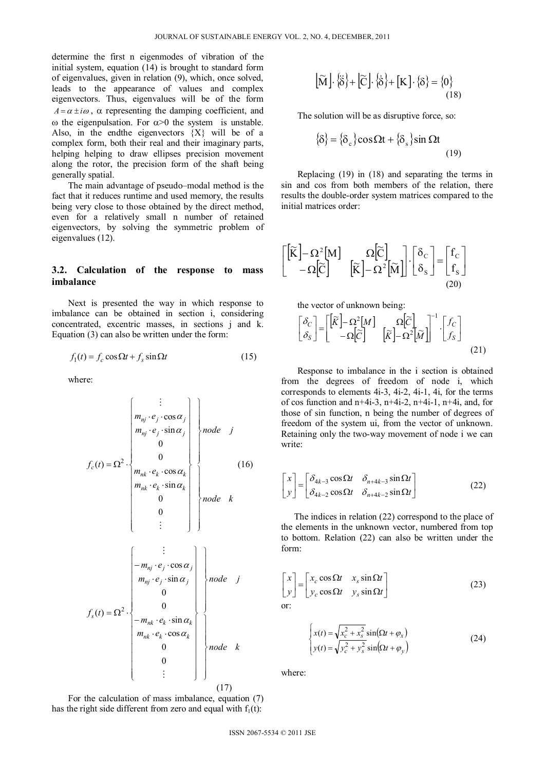determine the first n eigenmodes of vibration of the initial system, equation (14) is brought to standard form of eigenvalues, given in relation (9), which, once solved, leads to the appearance of values and complex eigenvectors. Thus, eigenvalues will be of the form  $A = \alpha \pm i\omega$ ,  $\alpha$  representing the damping coefficient, and  $\omega$  the eigenpulsation. For  $\alpha > 0$  the system is unstable. Also, in the endthe eigenvectors  ${X}$  will be of a complex form, both their real and their imaginary parts, helping helping to draw ellipses precision movement along the rotor, the precision form of the shaft being generally spatial.

The main advantage of pseudo–modal method is the fact that it reduces runtime and used memory, the results being very close to those obtained by the direct method, even for a relatively small n number of retained eigenvectors, by solving the symmetric problem of eigenvalues (12).

### **3.2. Calculation of the response to mass imbalance**

Next is presented the way in which response to imbalance can be obtained in section i, considering concentrated, excentric masses, in sections j and k. Equation (3) can also be written under the form:

$$
f_1(t) = f_c \cos \Omega t + f_s \sin \Omega t \tag{15}
$$

where:

*knode jnode em em em em tf kknk kknk jjnj jjnj c* 0 0 sin cos 0 0 sin cos )( <sup>2</sup> (16) *knode jnode em em em em tf kknk kknk jjnj jjnj s* 0 0 cos sin 0 0 sin cos )( <sup>2</sup> (17)

For the calculation of mass imbalance, equation (7) has the right of different from zero and equal with 
$$
f_1(t)
$$
:

$$
\left[\widetilde{M}\right] \cdot \left\{\widetilde{\delta}\right\} + \left[\widetilde{C}\right] \cdot \left\{\widetilde{\delta}\right\} + \left[K\right] \cdot \left\{\delta\right\} = \left\{0\right\} \tag{18}
$$

The solution will be as disruptive force, so:

$$
\{\delta\} = \{\delta_c\} \cos \Omega t + \{\delta_s\} \sin \Omega t
$$
\n(19)

Replacing (19) in (18) and separating the terms in sin and cos from both members of the relation, there results the double-order system matrices compared to the initial matrices order:

$$
\begin{bmatrix}\n[\widetilde{K}]-\Omega^2[M] & \Omega[\widetilde{C}]\n-\Omega[\widetilde{C}]\n[\widetilde{K}]-\Omega^2[\widetilde{M}]\n\end{bmatrix}\n\cdot\n\begin{bmatrix}\n\delta_c \\
\delta_s\n\end{bmatrix} =\n\begin{bmatrix}\nf_c \\
f_s\n\end{bmatrix}
$$
\n(20)

the vector of unknown being:

$$
\begin{bmatrix} \delta_C \\ \delta_S \end{bmatrix} = \begin{bmatrix} \begin{bmatrix} \tilde{K} \end{bmatrix} - \Omega^2 [M] & \Omega \begin{bmatrix} \tilde{C} \end{bmatrix} & \begin{bmatrix} I_C \\ \tilde{K} \end{bmatrix} - \Omega^2 [\tilde{M}] \end{bmatrix}^{-1} \begin{bmatrix} f_C \\ f_S \end{bmatrix}
$$
\n(21)

Response to imbalance in the i section is obtained from the degrees of freedom of node i, which corresponds to elements 4i-3, 4i-2, 4i-1, 4i, for the terms of cos function and  $n+4i-3$ ,  $n+4i-2$ ,  $n+4i-1$ ,  $n+4i$ , and, for those of sin function, n being the number of degrees of freedom of the system ui, from the vector of unknown. Retaining only the two-way movement of node i we can write:

$$
\begin{bmatrix} x \\ y \end{bmatrix} = \begin{bmatrix} \delta_{4k-3} \cos \Omega t & \delta_{n+4k-3} \sin \Omega t \\ \delta_{4k-2} \cos \Omega t & \delta_{n+4k-2} \sin \Omega t \end{bmatrix}
$$
 (22)

The indices in relation (22) correspond to the place of the elements in the unknown vector, numbered from top to bottom. Relation (22) can also be written under the form:

$$
\begin{bmatrix} x \\ y \end{bmatrix} = \begin{bmatrix} x_c \cos \Omega t & x_s \sin \Omega t \\ y_c \cos \Omega t & y_s \sin \Omega t \end{bmatrix}
$$
 (23)

$$
\begin{cases}\n x(t) = \sqrt{x_c^2 + x_s^2} \sin(\Omega t + \varphi_x) \\
 y(t) = \sqrt{y_c^2 + y_s^2} \sin(\Omega t + \varphi_y)\n\end{cases}
$$
\n(24)

where: